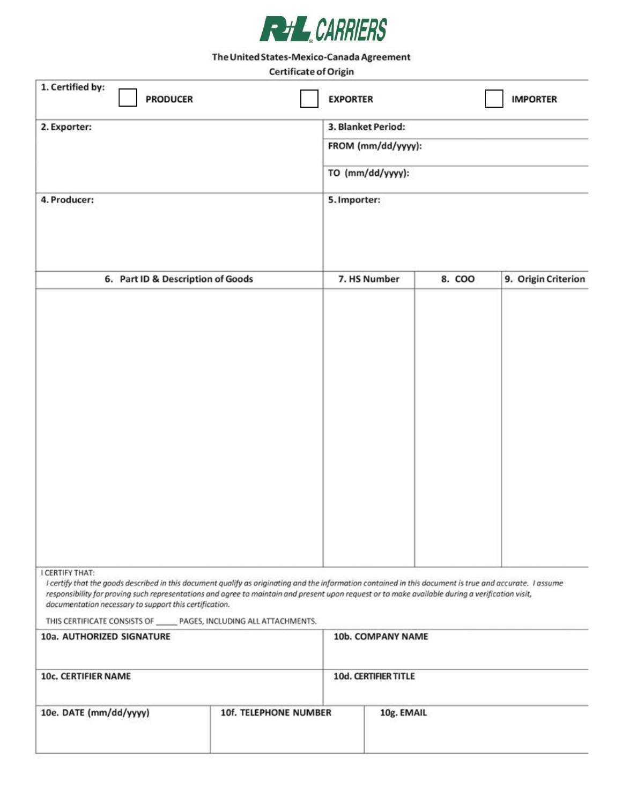

## The United States-Mexico-Canada Agreement

## **Certificate of Origin**

| 1. Certified by:<br><b>PRODUCER</b>                                                                                                                                                                                                                                                                                                                                                                                                                                                             | <b>EXPORTER</b>                                                              |        | <b>IMPORTER</b>     |
|-------------------------------------------------------------------------------------------------------------------------------------------------------------------------------------------------------------------------------------------------------------------------------------------------------------------------------------------------------------------------------------------------------------------------------------------------------------------------------------------------|------------------------------------------------------------------------------|--------|---------------------|
| 2. Exporter:                                                                                                                                                                                                                                                                                                                                                                                                                                                                                    | 3. Blanket Period:<br>FROM (mm/dd/yyyy):<br>TO (mm/dd/yyyy):<br>5. Importer: |        |                     |
|                                                                                                                                                                                                                                                                                                                                                                                                                                                                                                 |                                                                              |        |                     |
|                                                                                                                                                                                                                                                                                                                                                                                                                                                                                                 |                                                                              |        |                     |
| 4. Producer:                                                                                                                                                                                                                                                                                                                                                                                                                                                                                    |                                                                              |        |                     |
| 6. Part ID & Description of Goods                                                                                                                                                                                                                                                                                                                                                                                                                                                               | 7. HS Number                                                                 | 8. COO | 9. Origin Criterion |
|                                                                                                                                                                                                                                                                                                                                                                                                                                                                                                 |                                                                              |        |                     |
| I CERTIFY THAT:<br>I certify that the goods described in this document qualify as originating and the information contained in this document is true and accurate. I assume<br>responsibility for proving such representations and agree to maintain and present upon request or to make available during a verification visit,<br>documentation necessary to support this certification.<br>THIS CERTIFICATE CONSISTS OF ______ PAGES, INCLUDING ALL ATTACHMENTS.<br>10a. AUTHORIZED SIGNATURE | 10b. COMPANY NAME                                                            |        |                     |
| 10c. CERTIFIER NAME                                                                                                                                                                                                                                                                                                                                                                                                                                                                             | 10d. CERTIFIER TITLE                                                         |        |                     |

| 10e. DATE (mm/dd/yyyy)<br>10 - El Periodi Maria Maria | <b>10f. TELEPHONE NUMBER</b> | 10g. EMAIL |
|-------------------------------------------------------|------------------------------|------------|
|                                                       |                              |            |